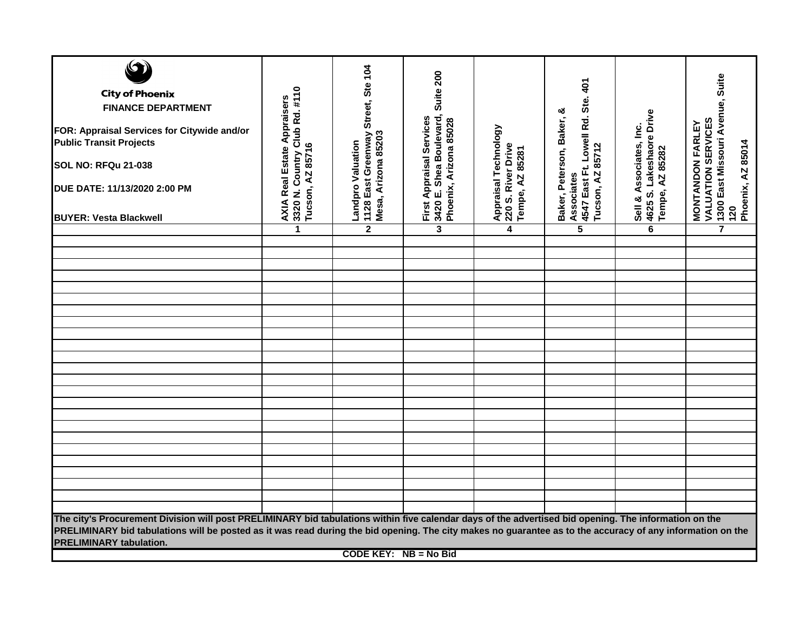| $\left( \bigodot \right)$<br><b>City of Phoenix</b><br><b>FINANCE DEPARTMENT</b><br>FOR: Appraisal Services for Citywide and/or<br><b>Public Transit Projects</b><br><b>SOL NO: RFQu 21-038</b><br><b>DUE DATE: 11/13/2020 2:00 PM</b><br><b>BUYER: Vesta Blackwell</b>                                                                               | 3320 N. Country Club Rd. #110<br><b>AXIA Real Estate Appraisers</b><br>Tucson, AZ 85716 | 1128 East Greenway Street, Ste 104<br>Mesa, Arizona 85203<br>Landpro Valuation | Suite 200<br>3420 E. Shea Boulevard,<br><b>First Appraisal Services</b><br>Phoenix, Arizona 85028 | Appraisal Technology<br>220 S. River Drive<br>Tempe, AZ 85281 | 4547 East Ft. Lowell Rd. Ste. 401<br>Baker, Peterson, Baker, &<br>Tucson, AZ 85712<br>Associates | 4625 S. Lakeshaore Drive<br>Sell & Associates, Inc.<br>Tempe, AZ 85282 | 1300 East Missouri Avenue, Suite<br><b>VALUATION SERVICES</b><br><b>MONTANDON FARLEY</b><br>Phoenix, AZ 85014<br>120 |
|-------------------------------------------------------------------------------------------------------------------------------------------------------------------------------------------------------------------------------------------------------------------------------------------------------------------------------------------------------|-----------------------------------------------------------------------------------------|--------------------------------------------------------------------------------|---------------------------------------------------------------------------------------------------|---------------------------------------------------------------|--------------------------------------------------------------------------------------------------|------------------------------------------------------------------------|----------------------------------------------------------------------------------------------------------------------|
|                                                                                                                                                                                                                                                                                                                                                       | 1                                                                                       | $\overline{2}$                                                                 | $\overline{\mathbf{3}}$                                                                           | 4                                                             | $\overline{\mathbf{5}}$                                                                          | $\overline{\mathbf{6}}$                                                | 7                                                                                                                    |
|                                                                                                                                                                                                                                                                                                                                                       |                                                                                         |                                                                                |                                                                                                   |                                                               |                                                                                                  |                                                                        |                                                                                                                      |
|                                                                                                                                                                                                                                                                                                                                                       |                                                                                         |                                                                                |                                                                                                   |                                                               |                                                                                                  |                                                                        |                                                                                                                      |
|                                                                                                                                                                                                                                                                                                                                                       |                                                                                         |                                                                                |                                                                                                   |                                                               |                                                                                                  |                                                                        |                                                                                                                      |
|                                                                                                                                                                                                                                                                                                                                                       |                                                                                         |                                                                                |                                                                                                   |                                                               |                                                                                                  |                                                                        |                                                                                                                      |
|                                                                                                                                                                                                                                                                                                                                                       |                                                                                         |                                                                                |                                                                                                   |                                                               |                                                                                                  |                                                                        |                                                                                                                      |
|                                                                                                                                                                                                                                                                                                                                                       |                                                                                         |                                                                                |                                                                                                   |                                                               |                                                                                                  |                                                                        |                                                                                                                      |
|                                                                                                                                                                                                                                                                                                                                                       |                                                                                         |                                                                                |                                                                                                   |                                                               |                                                                                                  |                                                                        |                                                                                                                      |
|                                                                                                                                                                                                                                                                                                                                                       |                                                                                         |                                                                                |                                                                                                   |                                                               |                                                                                                  |                                                                        |                                                                                                                      |
|                                                                                                                                                                                                                                                                                                                                                       |                                                                                         |                                                                                |                                                                                                   |                                                               |                                                                                                  |                                                                        |                                                                                                                      |
|                                                                                                                                                                                                                                                                                                                                                       |                                                                                         |                                                                                |                                                                                                   |                                                               |                                                                                                  |                                                                        |                                                                                                                      |
|                                                                                                                                                                                                                                                                                                                                                       |                                                                                         |                                                                                |                                                                                                   |                                                               |                                                                                                  |                                                                        |                                                                                                                      |
|                                                                                                                                                                                                                                                                                                                                                       |                                                                                         |                                                                                |                                                                                                   |                                                               |                                                                                                  |                                                                        |                                                                                                                      |
|                                                                                                                                                                                                                                                                                                                                                       |                                                                                         |                                                                                |                                                                                                   |                                                               |                                                                                                  |                                                                        |                                                                                                                      |
|                                                                                                                                                                                                                                                                                                                                                       |                                                                                         |                                                                                |                                                                                                   |                                                               |                                                                                                  |                                                                        |                                                                                                                      |
|                                                                                                                                                                                                                                                                                                                                                       |                                                                                         |                                                                                |                                                                                                   |                                                               |                                                                                                  |                                                                        |                                                                                                                      |
|                                                                                                                                                                                                                                                                                                                                                       |                                                                                         |                                                                                |                                                                                                   |                                                               |                                                                                                  |                                                                        |                                                                                                                      |
|                                                                                                                                                                                                                                                                                                                                                       |                                                                                         |                                                                                |                                                                                                   |                                                               |                                                                                                  |                                                                        |                                                                                                                      |
|                                                                                                                                                                                                                                                                                                                                                       |                                                                                         |                                                                                |                                                                                                   |                                                               |                                                                                                  |                                                                        |                                                                                                                      |
|                                                                                                                                                                                                                                                                                                                                                       |                                                                                         |                                                                                |                                                                                                   |                                                               |                                                                                                  |                                                                        |                                                                                                                      |
|                                                                                                                                                                                                                                                                                                                                                       |                                                                                         |                                                                                |                                                                                                   |                                                               |                                                                                                  |                                                                        |                                                                                                                      |
| The city's Procurement Division will post PRELIMINARY bid tabulations within five calendar days of the advertised bid opening. The information on the<br>PRELIMINARY bid tabulations will be posted as it was read during the bid opening. The city makes no guarantee as to the accuracy of any information on the<br><b>PRELIMINARY tabulation.</b> |                                                                                         |                                                                                |                                                                                                   |                                                               |                                                                                                  |                                                                        |                                                                                                                      |
| <b>CODE KEY: NB = No Bid</b>                                                                                                                                                                                                                                                                                                                          |                                                                                         |                                                                                |                                                                                                   |                                                               |                                                                                                  |                                                                        |                                                                                                                      |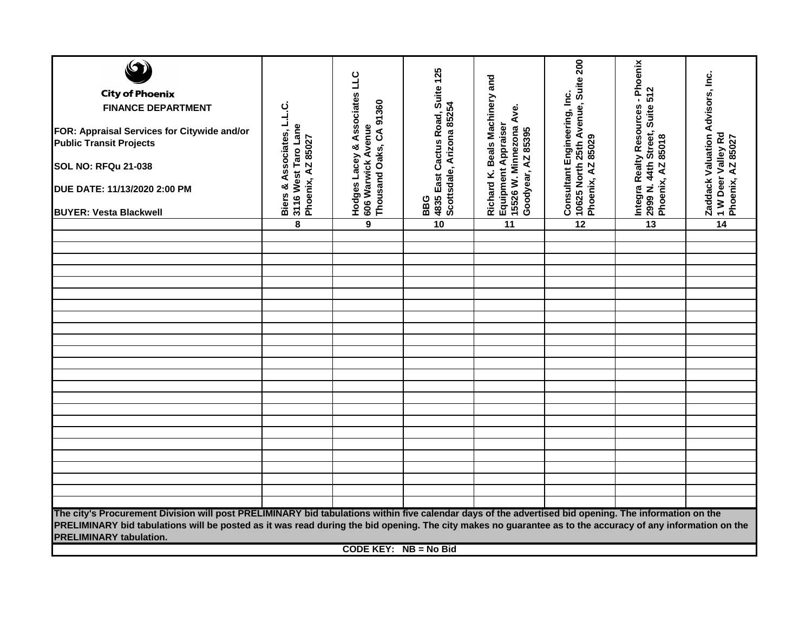| $\mathbf{C}$<br><b>City of Phoenix</b><br><b>FINANCE DEPARTMENT</b><br>FOR: Appraisal Services for Citywide and/or<br><b>Public Transit Projects</b><br><b>SOL NO: RFQu 21-038</b><br>DUE DATE: 11/13/2020 2:00 PM<br><b>BUYER: Vesta Blackwell</b>                                                                                                   | ن<br>ٻـ<br>نـ<br>3116 West Taro Lane<br>Biers & Associates,<br>Phoenix, AZ 85027 | Hodges Lacey & Associates LLC<br>Thousand Oaks, CA 91360<br>606 Warwick Avenue | Suite 125<br>Scottsdale, Arizona 85254<br>4835 East Cactus Road,<br>BBG | Richard K. Beals Machinery and<br>15526 W. Minnezona Ave.<br>Equipment Appraiser<br>Goodyear, AZ 85395 | 10625 North 25th Avenue, Suite 200<br>Phoenix, AZ 85029<br>Consultant Engineering, Inc. | Integra Realty Resources - Phoenix<br>2999 N. 44th Street, Suite 512<br>85018<br>Phoenix, AZ | Zaddack Valuation Advisors, Inc.<br>1 W Deer Valley Rd<br>Phoenix, AZ 85027 |
|-------------------------------------------------------------------------------------------------------------------------------------------------------------------------------------------------------------------------------------------------------------------------------------------------------------------------------------------------------|----------------------------------------------------------------------------------|--------------------------------------------------------------------------------|-------------------------------------------------------------------------|--------------------------------------------------------------------------------------------------------|-----------------------------------------------------------------------------------------|----------------------------------------------------------------------------------------------|-----------------------------------------------------------------------------|
|                                                                                                                                                                                                                                                                                                                                                       | 8                                                                                | $\overline{9}$                                                                 | 10                                                                      | $\overline{11}$                                                                                        | $\overline{12}$                                                                         | $\overline{13}$                                                                              | $\overline{14}$                                                             |
|                                                                                                                                                                                                                                                                                                                                                       |                                                                                  |                                                                                |                                                                         |                                                                                                        |                                                                                         |                                                                                              |                                                                             |
|                                                                                                                                                                                                                                                                                                                                                       |                                                                                  |                                                                                |                                                                         |                                                                                                        |                                                                                         |                                                                                              |                                                                             |
|                                                                                                                                                                                                                                                                                                                                                       |                                                                                  |                                                                                |                                                                         |                                                                                                        |                                                                                         |                                                                                              |                                                                             |
|                                                                                                                                                                                                                                                                                                                                                       |                                                                                  |                                                                                |                                                                         |                                                                                                        |                                                                                         |                                                                                              |                                                                             |
|                                                                                                                                                                                                                                                                                                                                                       |                                                                                  |                                                                                |                                                                         |                                                                                                        |                                                                                         |                                                                                              |                                                                             |
|                                                                                                                                                                                                                                                                                                                                                       |                                                                                  |                                                                                |                                                                         |                                                                                                        |                                                                                         |                                                                                              |                                                                             |
|                                                                                                                                                                                                                                                                                                                                                       |                                                                                  |                                                                                |                                                                         |                                                                                                        |                                                                                         |                                                                                              |                                                                             |
|                                                                                                                                                                                                                                                                                                                                                       |                                                                                  |                                                                                |                                                                         |                                                                                                        |                                                                                         |                                                                                              |                                                                             |
|                                                                                                                                                                                                                                                                                                                                                       |                                                                                  |                                                                                |                                                                         |                                                                                                        |                                                                                         |                                                                                              |                                                                             |
|                                                                                                                                                                                                                                                                                                                                                       |                                                                                  |                                                                                |                                                                         |                                                                                                        |                                                                                         |                                                                                              |                                                                             |
|                                                                                                                                                                                                                                                                                                                                                       |                                                                                  |                                                                                |                                                                         |                                                                                                        |                                                                                         |                                                                                              |                                                                             |
|                                                                                                                                                                                                                                                                                                                                                       |                                                                                  |                                                                                |                                                                         |                                                                                                        |                                                                                         |                                                                                              |                                                                             |
|                                                                                                                                                                                                                                                                                                                                                       |                                                                                  |                                                                                |                                                                         |                                                                                                        |                                                                                         |                                                                                              |                                                                             |
|                                                                                                                                                                                                                                                                                                                                                       |                                                                                  |                                                                                |                                                                         |                                                                                                        |                                                                                         |                                                                                              |                                                                             |
|                                                                                                                                                                                                                                                                                                                                                       |                                                                                  |                                                                                |                                                                         |                                                                                                        |                                                                                         |                                                                                              |                                                                             |
|                                                                                                                                                                                                                                                                                                                                                       |                                                                                  |                                                                                |                                                                         |                                                                                                        |                                                                                         |                                                                                              |                                                                             |
|                                                                                                                                                                                                                                                                                                                                                       |                                                                                  |                                                                                |                                                                         |                                                                                                        |                                                                                         |                                                                                              |                                                                             |
|                                                                                                                                                                                                                                                                                                                                                       |                                                                                  |                                                                                |                                                                         |                                                                                                        |                                                                                         |                                                                                              |                                                                             |
|                                                                                                                                                                                                                                                                                                                                                       |                                                                                  |                                                                                |                                                                         |                                                                                                        |                                                                                         |                                                                                              |                                                                             |
|                                                                                                                                                                                                                                                                                                                                                       |                                                                                  |                                                                                |                                                                         |                                                                                                        |                                                                                         |                                                                                              |                                                                             |
| The city's Procurement Division will post PRELIMINARY bid tabulations within five calendar days of the advertised bid opening. The information on the<br>PRELIMINARY bid tabulations will be posted as it was read during the bid opening. The city makes no guarantee as to the accuracy of any information on the<br><b>PRELIMINARY tabulation.</b> |                                                                                  |                                                                                |                                                                         |                                                                                                        |                                                                                         |                                                                                              |                                                                             |
| <b>CODE KEY: NB = No Bid</b>                                                                                                                                                                                                                                                                                                                          |                                                                                  |                                                                                |                                                                         |                                                                                                        |                                                                                         |                                                                                              |                                                                             |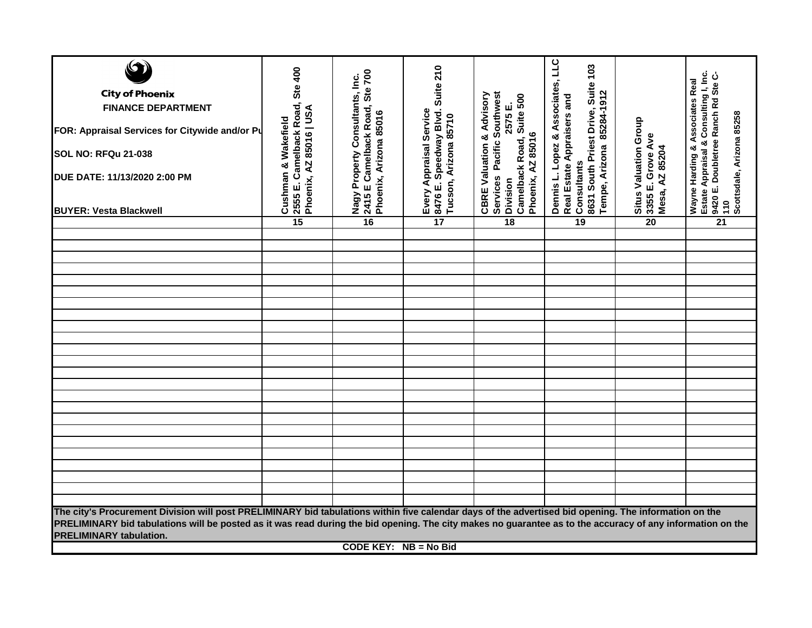| <b>City of Phoenix</b><br><b>FINANCE DEPARTMENT</b><br>FOR: Appraisal Services for Citywide and/or Pu<br><b>SOL NO: RFQu 21-038</b><br>DUE DATE: 11/13/2020 2:00 PM<br><b>BUYER: Vesta Blackwell</b>                                                                                                                                                  | 2555 E. Camelback Road, Ste 400<br>Phoenix, AZ 85016   USA<br>Cushman & Wakefield | 2415 E Camelback Road, Ste 700<br>Nagy Property Consultants, Inc.<br>Phoenix, Arizona 85016 | Suite <sub>210</sub><br>8476 E. Speedway Blvd.<br>Every Appraisal Service<br>Tucson, Arizona 85710 | Services Pacific Southwest<br><b>CBRE Valuation &amp; Advisory</b><br>Camelback Road, Suite 500<br>2575 E.<br>Phoenix, AZ 85016<br><b>Division</b> | JП<br>103<br>Dennis L. Lopez & Associates,<br>Suite <sup>-</sup><br>Tempe, Arizona 85284-1912<br>Real Estate Appraisers and<br>8631 South Priest Drive,<br>Consultants | Situs Valuation Group<br>3355 E. Grove Ave<br>Mesa, AZ 85204 | Estate Appraisal & Consulting I, Inc.<br>9420 E. Doubletree Ranch Rd Ste C-<br>Wayne Harding & Associates Real<br>Scottsdale, Arizona 85258<br>110 |
|-------------------------------------------------------------------------------------------------------------------------------------------------------------------------------------------------------------------------------------------------------------------------------------------------------------------------------------------------------|-----------------------------------------------------------------------------------|---------------------------------------------------------------------------------------------|----------------------------------------------------------------------------------------------------|----------------------------------------------------------------------------------------------------------------------------------------------------|------------------------------------------------------------------------------------------------------------------------------------------------------------------------|--------------------------------------------------------------|----------------------------------------------------------------------------------------------------------------------------------------------------|
|                                                                                                                                                                                                                                                                                                                                                       | 15                                                                                | 16                                                                                          | 17                                                                                                 | 18                                                                                                                                                 | 19                                                                                                                                                                     | $\overline{20}$                                              | $\overline{21}$                                                                                                                                    |
|                                                                                                                                                                                                                                                                                                                                                       |                                                                                   |                                                                                             |                                                                                                    |                                                                                                                                                    |                                                                                                                                                                        |                                                              |                                                                                                                                                    |
|                                                                                                                                                                                                                                                                                                                                                       |                                                                                   |                                                                                             |                                                                                                    |                                                                                                                                                    |                                                                                                                                                                        |                                                              |                                                                                                                                                    |
|                                                                                                                                                                                                                                                                                                                                                       |                                                                                   |                                                                                             |                                                                                                    |                                                                                                                                                    |                                                                                                                                                                        |                                                              |                                                                                                                                                    |
|                                                                                                                                                                                                                                                                                                                                                       |                                                                                   |                                                                                             |                                                                                                    |                                                                                                                                                    |                                                                                                                                                                        |                                                              |                                                                                                                                                    |
|                                                                                                                                                                                                                                                                                                                                                       |                                                                                   |                                                                                             |                                                                                                    |                                                                                                                                                    |                                                                                                                                                                        |                                                              |                                                                                                                                                    |
|                                                                                                                                                                                                                                                                                                                                                       |                                                                                   |                                                                                             |                                                                                                    |                                                                                                                                                    |                                                                                                                                                                        |                                                              |                                                                                                                                                    |
|                                                                                                                                                                                                                                                                                                                                                       |                                                                                   |                                                                                             |                                                                                                    |                                                                                                                                                    |                                                                                                                                                                        |                                                              |                                                                                                                                                    |
|                                                                                                                                                                                                                                                                                                                                                       |                                                                                   |                                                                                             |                                                                                                    |                                                                                                                                                    |                                                                                                                                                                        |                                                              |                                                                                                                                                    |
|                                                                                                                                                                                                                                                                                                                                                       |                                                                                   |                                                                                             |                                                                                                    |                                                                                                                                                    |                                                                                                                                                                        |                                                              |                                                                                                                                                    |
|                                                                                                                                                                                                                                                                                                                                                       |                                                                                   |                                                                                             |                                                                                                    |                                                                                                                                                    |                                                                                                                                                                        |                                                              |                                                                                                                                                    |
|                                                                                                                                                                                                                                                                                                                                                       |                                                                                   |                                                                                             |                                                                                                    |                                                                                                                                                    |                                                                                                                                                                        |                                                              |                                                                                                                                                    |
|                                                                                                                                                                                                                                                                                                                                                       |                                                                                   |                                                                                             |                                                                                                    |                                                                                                                                                    |                                                                                                                                                                        |                                                              |                                                                                                                                                    |
|                                                                                                                                                                                                                                                                                                                                                       |                                                                                   |                                                                                             |                                                                                                    |                                                                                                                                                    |                                                                                                                                                                        |                                                              |                                                                                                                                                    |
|                                                                                                                                                                                                                                                                                                                                                       |                                                                                   |                                                                                             |                                                                                                    |                                                                                                                                                    |                                                                                                                                                                        |                                                              |                                                                                                                                                    |
|                                                                                                                                                                                                                                                                                                                                                       |                                                                                   |                                                                                             |                                                                                                    |                                                                                                                                                    |                                                                                                                                                                        |                                                              |                                                                                                                                                    |
|                                                                                                                                                                                                                                                                                                                                                       |                                                                                   |                                                                                             |                                                                                                    |                                                                                                                                                    |                                                                                                                                                                        |                                                              |                                                                                                                                                    |
|                                                                                                                                                                                                                                                                                                                                                       |                                                                                   |                                                                                             |                                                                                                    |                                                                                                                                                    |                                                                                                                                                                        |                                                              |                                                                                                                                                    |
|                                                                                                                                                                                                                                                                                                                                                       |                                                                                   |                                                                                             |                                                                                                    |                                                                                                                                                    |                                                                                                                                                                        |                                                              |                                                                                                                                                    |
|                                                                                                                                                                                                                                                                                                                                                       |                                                                                   |                                                                                             |                                                                                                    |                                                                                                                                                    |                                                                                                                                                                        |                                                              |                                                                                                                                                    |
|                                                                                                                                                                                                                                                                                                                                                       |                                                                                   |                                                                                             |                                                                                                    |                                                                                                                                                    |                                                                                                                                                                        |                                                              |                                                                                                                                                    |
| The city's Procurement Division will post PRELIMINARY bid tabulations within five calendar days of the advertised bid opening. The information on the<br>PRELIMINARY bid tabulations will be posted as it was read during the bid opening. The city makes no guarantee as to the accuracy of any information on the<br><b>PRELIMINARY tabulation.</b> |                                                                                   |                                                                                             |                                                                                                    |                                                                                                                                                    |                                                                                                                                                                        |                                                              |                                                                                                                                                    |
| <b>CODE KEY: NB = No Bid</b>                                                                                                                                                                                                                                                                                                                          |                                                                                   |                                                                                             |                                                                                                    |                                                                                                                                                    |                                                                                                                                                                        |                                                              |                                                                                                                                                    |